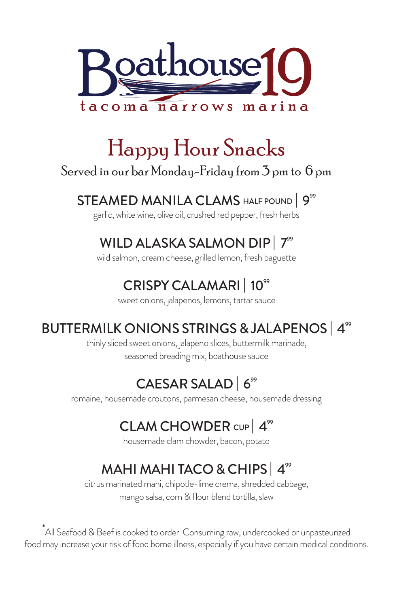

## Happy Hour Snacks

#### Served in our bar Monday-Friday from 3 pm to 6 pm

#### STEAMED MANILA CLAMS HALF POUND | 9<sup>99</sup>

garlic, white wine, olive oil, crushed red pepper, fresh herbs

### WILD ALASKA SALMON DIP<sup>|</sup> 7<sup>99</sup>

wild salmon, cream cheese, grilled lemon, fresh baguette

### CRISPY CALAMARI | 10<sup>99</sup>

sweet onions, jalapenos, lemons, tartar sauce

### BUTTERMILK ONIONS STRINGS & JALAPENOS | 4<sup>99</sup>

thinly sliced sweet onions, jalapeno slices, buttermilk marinade, seasoned breading mix, boathouse sauce

## CAESAR SALAD  $6^{\circ\circ}$

romaine, housemade croutons, parmesan cheese, housemade dressing

## CLAM CHOWDER CUP | 4<sup>99</sup>

housemade clam chowder, bacon, potato

## MAHI MAHI TACO & CHIPS 4<sup>99</sup>

citrus marinated mahi, chipotle-lime crema, shredded cabbage, mango salsa, corn & flour blend tortilla, slaw

\* All Seafood & Beef is cooked to order. Consuming raw, undercooked or unpasteurized food may increase your risk of food borne illness, especially if you have certain medical conditions.